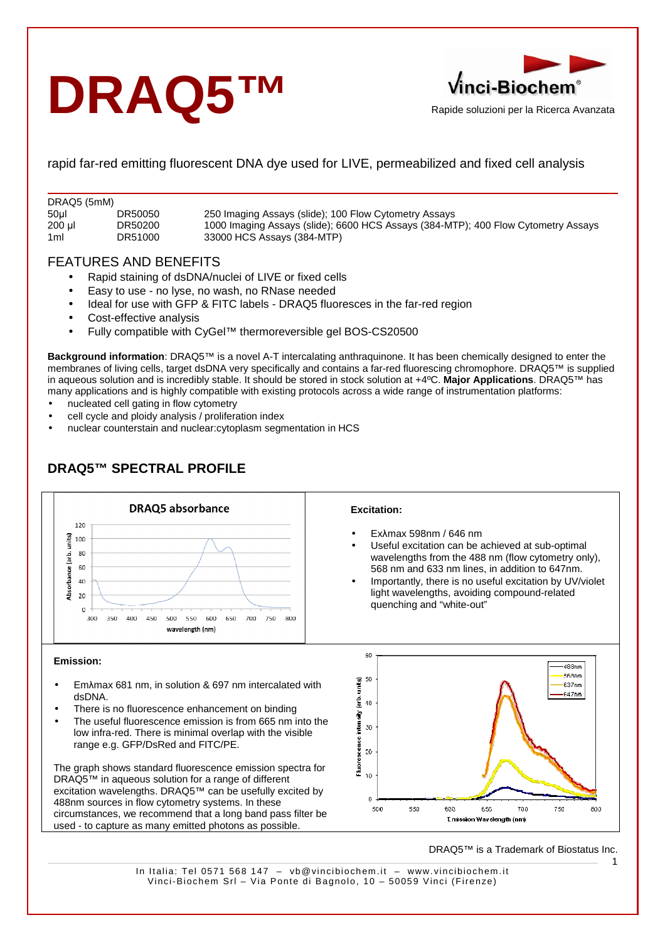# **DRAQ5™**



rapid far-red emitting fluorescent DNA dye used for LIVE, permeabilized and fixed cell analysis

| DRAQ5 (5mM)     |         |                                                                                   |  |  |  |  |  |
|-----------------|---------|-----------------------------------------------------------------------------------|--|--|--|--|--|
| 50 <sub>µ</sub> | DR50050 | 250 Imaging Assays (slide); 100 Flow Cytometry Assays                             |  |  |  |  |  |
| 200 µl          | DR50200 | 1000 Imaging Assays (slide); 6600 HCS Assays (384-MTP); 400 Flow Cytometry Assays |  |  |  |  |  |
| 1 <sub>ml</sub> | DR51000 | 33000 HCS Assays (384-MTP)                                                        |  |  |  |  |  |

# FEATURES AND BENEFITS

- Rapid staining of dsDNA/nuclei of LIVE or fixed cells
- Easy to use no lyse, no wash, no RNase needed
- Ideal for use with GFP & FITC labels DRAQ5 fluoresces in the far-red region
- Cost-effective analysis
- Fully compatible with CyGel™ thermoreversible gel BOS-CS20500

**Background information**: DRAQ5™ is a novel A-T intercalating anthraquinone. It has been chemically designed to enter the membranes of living cells, target dsDNA very specifically and contains a far-red fluorescing chromophore. DRAQ5™ is supplied in aqueous solution and is incredibly stable. It should be stored in stock solution at +4ºC. **Major Applications**. DRAQ5™ has many applications and is highly compatible with existing protocols across a wide range of instrumentation platforms:

- nucleated cell gating in flow cytometry
- cell cycle and ploidy analysis / proliferation index
- nuclear counterstain and nuclear:cytoplasm segmentation in HCS



# **DRAQ5™ SPECTRAL PROFILE**

## **Emission:**

- Emλmax 681 nm, in solution & 697 nm intercalated with dsDNA.
- There is no fluorescence enhancement on binding
- The useful fluorescence emission is from 665 nm into the low infra-red. There is minimal overlap with the visible range e.g. GFP/DsRed and FITC/PE.

The graph shows standard fluorescence emission spectra for DRAQ5™ in aqueous solution for a range of different excitation wavelengths. DRAQ5™ can be usefully excited by 488nm sources in flow cytometry systems. In these circumstances, we recommend that a long band pass filter be used - to capture as many emitted photons as possible.



DRAQ5™ is a Trademark of Biostatus Inc.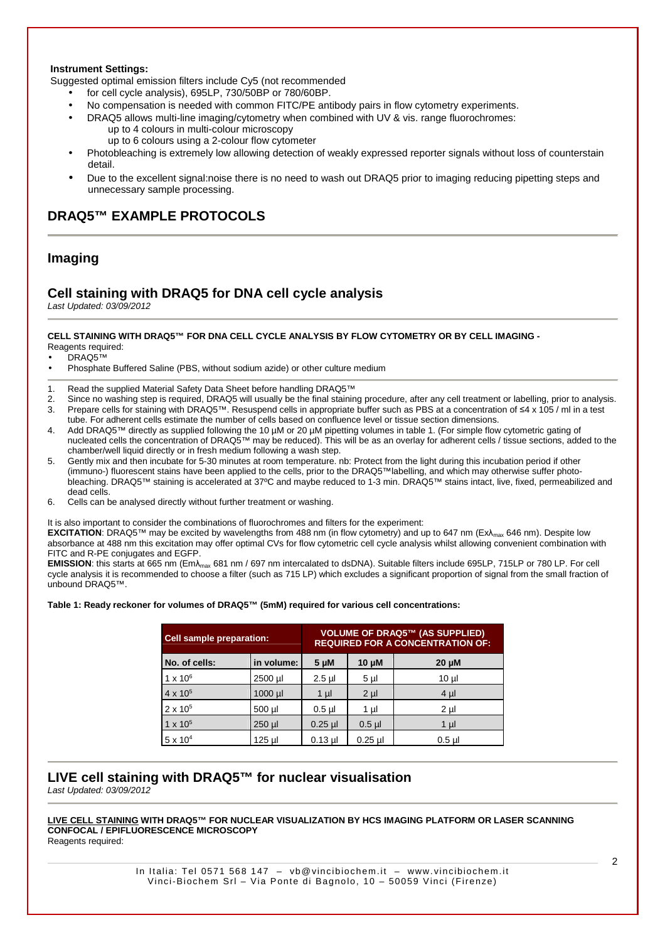## **Instrument Settings:**

Suggested optimal emission filters include Cy5 (not recommended

- for cell cycle analysis), 695LP, 730/50BP or 780/60BP.
- No compensation is needed with common FITC/PE antibody pairs in flow cytometry experiments.
- DRAQ5 allows multi-line imaging/cytometry when combined with UV & vis. range fluorochromes: up to 4 colours in multi-colour microscopy
	- up to 6 colours using a 2-colour flow cytometer
- Photobleaching is extremely low allowing detection of weakly expressed reporter signals without loss of counterstain detail.
- Due to the excellent signal:noise there is no need to wash out DRAQ5 prior to imaging reducing pipetting steps and unnecessary sample processing.

## **DRAQ5™ EXAMPLE PROTOCOLS**

## **Imaging**

## **Cell staining with DRAQ5 for DNA cell cycle analysis**

Last Updated: 03/09/2012

#### **CELL STAINING WITH DRAQ5™ FOR DNA CELL CYCLE ANALYSIS BY FLOW CYTOMETRY OR BY CELL IMAGING -** Reagents required:

DRAQ5™

- Phosphate Buffered Saline (PBS, without sodium azide) or other culture medium
- 1. Read the supplied Material Safety Data Sheet before handling DRAQ5™
- 2. Since no washing step is required, DRAQ5 will usually be the final staining procedure, after any cell treatment or labelling, prior to analysis. 3. Prepare cells for staining with DRAQ5™. Resuspend cells in appropriate buffer such as PBS at a concentration of ≤4 x 105 / ml in a test
- tube. For adherent cells estimate the number of cells based on confluence level or tissue section dimensions.
- 4. Add DRAQ5™ directly as supplied following the 10 µM or 20 µM pipetting volumes in table 1. (For simple flow cytometric gating of nucleated cells the concentration of DRAQ5™ may be reduced). This will be as an overlay for adherent cells / tissue sections, added to the chamber/well liquid directly or in fresh medium following a wash step.
- 5. Gently mix and then incubate for 5-30 minutes at room temperature. nb: Protect from the light during this incubation period if other (immuno-) fluorescent stains have been applied to the cells, prior to the DRAQ5™labelling, and which may otherwise suffer photobleaching. DRAQ5™ staining is accelerated at 37ºC and maybe reduced to 1-3 min. DRAQ5™ stains intact, live, fixed, permeabilized and dead cells.
- 6. Cells can be analysed directly without further treatment or washing.

It is also important to consider the combinations of fluorochromes and filters for the experiment:

**EXCITATION**: DRAQ5<sup>™</sup> may be excited by wavelengths from 488 nm (in flow cytometry) and up to 647 nm (Ex $\lambda_{\text{max}}$  646 nm). Despite low absorbance at 488 nm this excitation may offer optimal CVs for flow cytometric cell cycle analysis whilst allowing convenient combination with FITC and R-PE conjugates and EGFP.

**EMISSION**: this starts at 665 nm (Em $\lambda_{\text{max}}$  681 nm / 697 nm intercalated to dsDNA). Suitable filters include 695LP, 715LP or 780 LP. For cell cycle analysis it is recommended to choose a filter (such as 715 LP) which excludes a significant proportion of signal from the small fraction of unbound DRAQ5™.

#### **Table 1: Ready reckoner for volumes of DRAQ5™ (5mM) required for various cell concentrations:**

| Cell sample preparation: | <b>VOLUME OF DRAQ5™ (AS SUPPLIED)</b><br><b>REQUIRED FOR A CONCENTRATION OF:</b> |           |                |                 |
|--------------------------|----------------------------------------------------------------------------------|-----------|----------------|-----------------|
| No. of cells:            | in volume:                                                                       | 5 µM      | $10 \mu M$     | $20 \mu M$      |
| $1 \times 10^6$          | 2500 µl                                                                          | $2.5$ µl  | 5 <sub>µ</sub> | 10 <sub>µ</sub> |
| $4 \times 10^{5}$        | $1000$ µl                                                                        | $1 \mu$   | $2 \mu$        | $4 \mu$         |
| $2 \times 10^{5}$        | 500 µl                                                                           | $0.5$ µl  | 1 µl           | $2 \mu$         |
| $1 \times 10^{5}$        | $250$ µ                                                                          | $0.25$ µ  | $0.5$ µ        | $1 \mu$         |
| $5 \times 10^4$          | 125 µl                                                                           | $0.13$ µl | $0.25$ µ       | $0.5$ µl        |

## **LIVE cell staining with DRAQ5™ for nuclear visualisation**

Last Updated: 03/09/2012

## **LIVE CELL STAINING WITH DRAQ5™ FOR NUCLEAR VISUALIZATION BY HCS IMAGING PLATFORM OR LASER SCANNING CONFOCAL / EPIFLUORESCENCE MICROSCOPY**

Reagents required: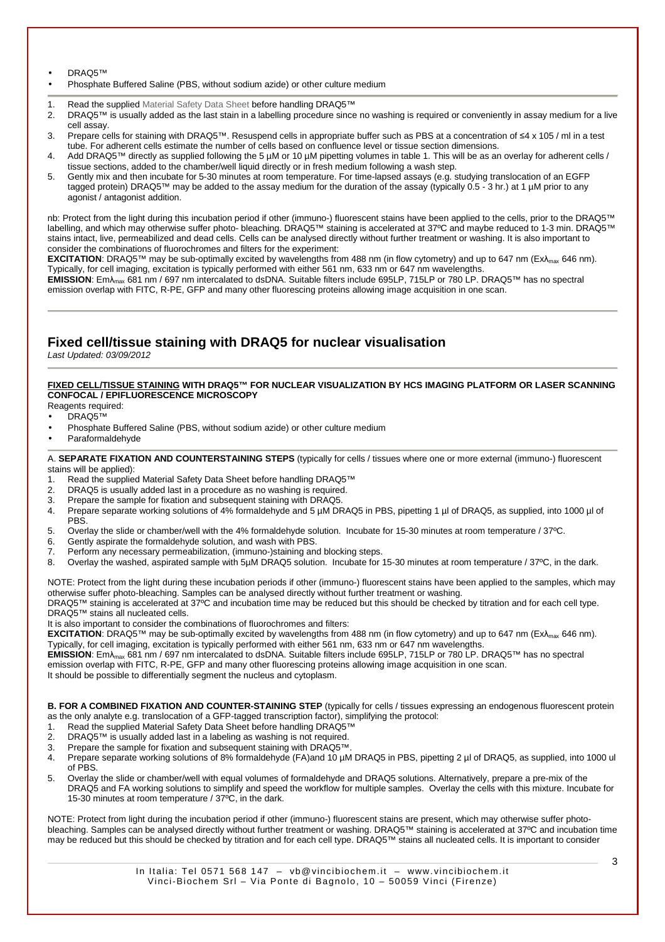• DRAQ5™

- Phosphate Buffered Saline (PBS, without sodium azide) or other culture medium
- 1. Read the supplied Material Safety Data Sheet before handling DRAQ5™
- 2. DRAQ5™ is usually added as the last stain in a labelling procedure since no washing is required or conveniently in assay medium for a live cell assay.
- 3. Prepare cells for staining with DRAQ5™. Resuspend cells in appropriate buffer such as PBS at a concentration of ≤4 x 105 / ml in a test tube. For adherent cells estimate the number of cells based on confluence level or tissue section dimensions.
- 4. Add DRAQ5™ directly as supplied following the 5 µM or 10 µM pipetting volumes in table 1. This will be as an overlay for adherent cells / tissue sections, added to the chamber/well liquid directly or in fresh medium following a wash step.
- 5. Gently mix and then incubate for 5-30 minutes at room temperature. For time-lapsed assays (e.g. studying translocation of an EGFP tagged protein) DRAQ5™ may be added to the assay medium for the duration of the assay (typically 0.5 - 3 hr.) at 1 µM prior to any agonist / antagonist addition.

nb: Protect from the light during this incubation period if other (immuno-) fluorescent stains have been applied to the cells, prior to the DRAQ5™ labelling, and which may otherwise suffer photo- bleaching. DRAQ5™ staining is accelerated at 37ºC and maybe reduced to 1-3 min. DRAQ5™ stains intact, live, permeabilized and dead cells. Cells can be analysed directly without further treatment or washing. It is also important to consider the combinations of fluorochromes and filters for the experiment:

**EXCITATION:** DRAQ5™ may be sub-optimally excited by wavelengths from 488 nm (in flow cytometry) and up to 647 nm (Ex $\lambda_{\text{max}}$  646 nm). Typically, for cell imaging, excitation is typically performed with either 561 nm, 633 nm or 647 nm wavelengths.

**EMISSION**: Emλmax 681 nm / 697 nm intercalated to dsDNA. Suitable filters include 695LP, 715LP or 780 LP. DRAQ5™ has no spectral emission overlap with FITC, R-PE, GFP and many other fluorescing proteins allowing image acquisition in one scan.

## **Fixed cell/tissue staining with DRAQ5 for nuclear visualisation**

Last Updated: 03/09/2012

## **FIXED CELL/TISSUE STAINING WITH DRAQ5™ FOR NUCLEAR VISUALIZATION BY HCS IMAGING PLATFORM OR LASER SCANNING CONFOCAL / EPIFLUORESCENCE MICROSCOPY**

Reagents required:

- DRAQ5™
- Phosphate Buffered Saline (PBS, without sodium azide) or other culture medium
- Paraformaldehyde

A. **SEPARATE FIXATION AND COUNTERSTAINING STEPS** (typically for cells / tissues where one or more external (immuno-) fluorescent stains will be applied):

- 1. Read the supplied Material Safety Data Sheet before handling DRAQ5™
- 2. DRAQ5 is usually added last in a procedure as no washing is required.<br>3. Prepare the sample for fixation and subsequent staining with DRAQ5.
- 3. Prepare the sample for fixation and subsequent staining with DRAQ5.
- 4. Prepare separate working solutions of 4% formaldehyde and 5 µM DRAQ5 in PBS, pipetting 1 µl of DRAQ5, as supplied, into 1000 µl of PBS.
- 5. Overlay the slide or chamber/well with the 4% formaldehyde solution. Incubate for 15-30 minutes at room temperature / 37ºC.
- 6. Gently aspirate the formaldehyde solution, and wash with PBS.
- 7. Perform any necessary permeabilization, (immuno-)staining and blocking steps.
- 8. Overlay the washed, aspirated sample with 5µM DRAQ5 solution. Incubate for 15-30 minutes at room temperature / 37°C, in the dark.

NOTE: Protect from the light during these incubation periods if other (immuno-) fluorescent stains have been applied to the samples, which may otherwise suffer photo-bleaching. Samples can be analysed directly without further treatment or washing.

DRAQ5™ staining is accelerated at 37ºC and incubation time may be reduced but this should be checked by titration and for each cell type. DRAQ5™ stains all nucleated cells.

It is also important to consider the combinations of fluorochromes and filters:

**EXCITATION**: DRAQ5™ may be sub-optimally excited by wavelengths from 488 nm (in flow cytometry) and up to 647 nm (Ex $\lambda_{\text{max}}$  646 nm). Typically, for cell imaging, excitation is typically performed with either 561 nm, 633 nm or 647 nm wavelengths.

**EMISSION**: Emλmax 681 nm / 697 nm intercalated to dsDNA. Suitable filters include 695LP, 715LP or 780 LP. DRAQ5™ has no spectral emission overlap with FITC, R-PE, GFP and many other fluorescing proteins allowing image acquisition in one scan.

It should be possible to differentially segment the nucleus and cytoplasm.

**B. FOR A COMBINED FIXATION AND COUNTER-STAINING STEP** (typically for cells / tissues expressing an endogenous fluorescent protein as the only analyte e.g. translocation of a GFP-tagged transcription factor), simplifying the protocol:

- 1. Read the supplied Material Safety Data Sheet before handling DRAQ5™
- 2. DRAQ5™ is usually added last in a labeling as washing is not required.
- 3. Prepare the sample for fixation and subsequent staining with DRAQ5™.
- 4. Prepare separate working solutions of 8% formaldehyde (FA)and 10 µM DRAQ5 in PBS, pipetting 2 µl of DRAQ5, as supplied, into 1000 ul of PBS.
- 5. Overlay the slide or chamber/well with equal volumes of formaldehyde and DRAQ5 solutions. Alternatively, prepare a pre-mix of the DRAQ5 and FA working solutions to simplify and speed the workflow for multiple samples. Overlay the cells with this mixture. Incubate for 15-30 minutes at room temperature / 37ºC, in the dark.

NOTE: Protect from light during the incubation period if other (immuno-) fluorescent stains are present, which may otherwise suffer photobleaching. Samples can be analysed directly without further treatment or washing. DRAQ5™ staining is accelerated at 37ºC and incubation time may be reduced but this should be checked by titration and for each cell type. DRAQ5™ stains all nucleated cells. It is important to consider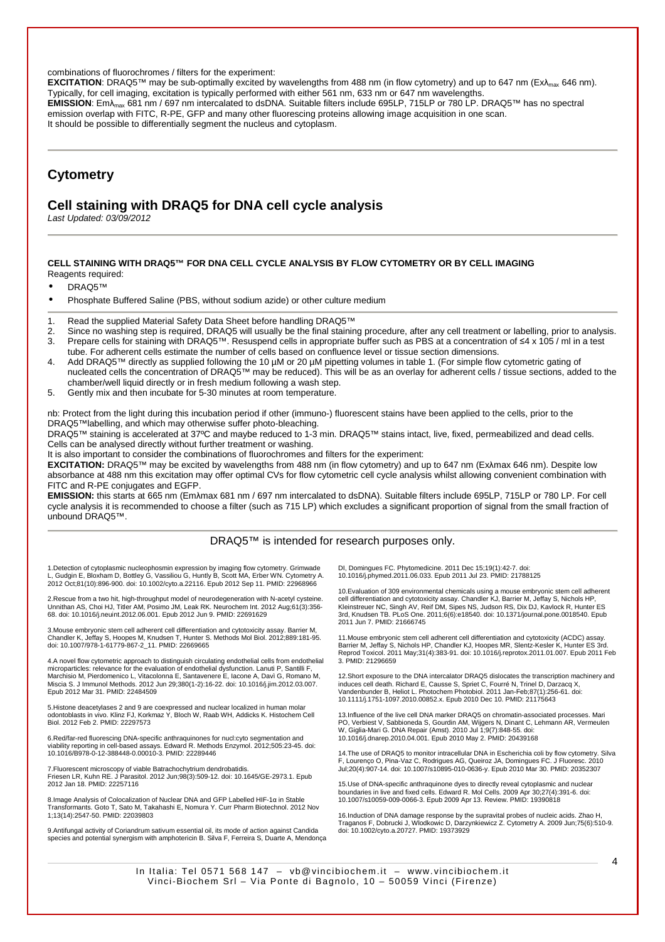combinations of fluorochromes / filters for the experiment:

**EXCITATION:** DRAQ5<sup>™</sup> may be sub-optimally excited by wavelengths from 488 nm (in flow cytometry) and up to 647 nm (Exλ<sub>max</sub> 646 nm). Typically, for cell imaging, excitation is typically performed with either 561 nm, 633 nm or 647 nm wavelengths. **EMISSION**: Emλmax 681 nm / 697 nm intercalated to dsDNA. Suitable filters include 695LP, 715LP or 780 LP. DRAQ5™ has no spectral emission overlap with FITC, R-PE, GFP and many other fluorescing proteins allowing image acquisition in one scan. It should be possible to differentially segment the nucleus and cytoplasm.

# **Cytometry**

## **Cell staining with DRAQ5 for DNA cell cycle analysis**

Last Updated: 03/09/2012

#### **CELL STAINING WITH DRAQ5™ FOR DNA CELL CYCLE ANALYSIS BY FLOW CYTOMETRY OR BY CELL IMAGING** Reagents required:

• DRAQ5™

- Phosphate Buffered Saline (PBS, without sodium azide) or other culture medium
- 1. Read the supplied Material Safety Data Sheet before handling DRAQ5™
- 2. Since no washing step is required, DRAQ5 will usually be the final staining procedure, after any cell treatment or labelling, prior to analysis. 3. Prepare cells for staining with DRAQ5™. Resuspend cells in appropriate buffer such as PBS at a concentration of ≤4 x 105 / ml in a test tube. For adherent cells estimate the number of cells based on confluence level or tissue section dimensions.
- 4. Add DRAQ5™ directly as supplied following the 10 µM or 20 µM pipetting volumes in table 1. (For simple flow cytometric gating of nucleated cells the concentration of DRAQ5™ may be reduced). This will be as an overlay for adherent cells / tissue sections, added to the chamber/well liquid directly or in fresh medium following a wash step.
- 5. Gently mix and then incubate for 5-30 minutes at room temperature.

nb: Protect from the light during this incubation period if other (immuno-) fluorescent stains have been applied to the cells, prior to the DRAQ5™labelling, and which may otherwise suffer photo-bleaching.

DRAQ5™ staining is accelerated at 37ºC and maybe reduced to 1-3 min. DRAQ5™ stains intact, live, fixed, permeabilized and dead cells. Cells can be analysed directly without further treatment or washing.

It is also important to consider the combinations of fluorochromes and filters for the experiment:

**EXCITATION:** DRAQ5™ may be excited by wavelengths from 488 nm (in flow cytometry) and up to 647 nm (Exλmax 646 nm). Despite low absorbance at 488 nm this excitation may offer optimal CVs for flow cytometric cell cycle analysis whilst allowing convenient combination with FITC and R-PE conjugates and EGFP.

**EMISSION:** this starts at 665 nm (Emλmax 681 nm / 697 nm intercalated to dsDNA). Suitable filters include 695LP, 715LP or 780 LP. For cell cycle analysis it is recommended to choose a filter (such as 715 LP) which excludes a significant proportion of signal from the small fraction of unbound DRAQ5™.

## DRAQ5™ is intended for research purposes only.

1.Detection of cytoplasmic nucleophosmin expression by imaging flow cytometry. Grimwade L, Gudgin E, Bloxham D, Bottley G, Vassiliou G, Huntly B, Scott MA, Erber WN. Cytometry A. 2012 Oct;81(10):896-900. doi: 10.1002/cyto.a.22116. Epub 2012 Sep 11. PMID: 22968966

2.Rescue from a two hit, high-throughput model of neurodegeneration with N-acetyl cysteine. Unnithan AS, Choi HJ, Titler AM, Posimo JM, Leak RK. Neurochem Int. 2012 Aug;61(3):356- 68. doi: 10.1016/j.neuint.2012.06.001. Epub 2012 Jun 9. PMID: 22691629

3.Mouse embryonic stem cell adherent cell differentiation and cytotoxicity assay. Barrier M,<br>Chandler K, Jeffay S, Hoopes M, Knudsen T, Hunter S. Methods Mol Biol. 2012;889:181-95.<br>doi: 10.1007/978-1-61779-867-2\_11. PMID:

4.A novel flow cytometric approach to distinguish circulating endothelial cells from endothelial microparticles: relevance for the evaluation of endothelial dysfunction. Lanuti P, Santilli F, Marchisio M, Pierdomenico L, Vitacolonna E, Santavenere E, Iacone A, Davì G, Romano M, Miscia S. J Immunol Methods. 2012 Jun 29;380(1-2):16-22. doi: 10.1016/j.jim.2012.03.007. Epub 2012 Mar 31. PMID: 22484509

5.Histone deacetylases 2 and 9 are coexpressed and nuclear localized in human molar odontoblasts in vivo. Klinz FJ, Korkmaz Y, Bloch W, Raab WH, Addicks K. Histochem Cell Biol. 2012 Feb 2. PMID: 22297573

6.Red/far-red fluorescing DNA-specific anthraquinones for nucl:cyto segmentation and viability reporting in cell-based assays. Edward R. Methods Enzymol. 2012;505:23-45. doi: 10.1016/B978-0-12-388448-0.00010-3. PMID: 22289446

7.Fluorescent microscopy of viable Batrachochytrium dendrobatidis. Friesen LR, Kuhn RE. J Parasitol. 2012 Jun;98(3):509-12. doi: 10.1645/GE-2973.1. Epub 2012 Jan 18. PMID: 22257116

8.Image Analysis of Colocalization of Nuclear DNA and GFP Labelled HIF-1α in Stable Transformants. Goto T, Sato M, Takahashi E, Nomura Y. Curr Pharm Biotechnol. 2012 Nov 1;13(14):2547-50. PMID: 22039803

9.Antifungal activity of Coriandrum sativum essential oil, its mode of action against Candida species and potential synergism with amphotericin B. Silva F, Ferreira S, Duarte A, Mendonça

DI, Domingues FC. Phytomedicine. 2011 Dec 15;19(1):42-7. doi: 10.1016/j.phymed.2011.06.033. Epub 2011 Jul 23. PMID: 21788125

10.Evaluation of 309 environmental chemicals using a mouse embryonic stem cell adherent<br>cell differentiation and cytotoxicity assay. Chandler KJ, Barrier M, Jeffay S, Nichols HP,<br>Kleinstreuer NC, Singh AV, Reif DM, Sipes N 3rd, Knudsen TB. PLoS One. 2011;6(6):e18540. doi: 10.1371/journal.pone.0018540. Epub 2011 Jun 7. PMID: 21666745

11.Mouse embryonic stem cell adherent cell differentiation and cytotoxicity (ACDC) assay.<br>Barrier M, Jeffay S, Nichols HP, Chandler KJ, Hoopes MR, Slentz-Kesler K, Hunter ES 3rd.<br>Reprod Toxicol. 2011 May;31(4):383-91. doi: 3. PMID: 21296659

12.Short exposure to the DNA intercalator DRAQ5 dislocates the transcription machinery and induces cell death. Richard E, Causse S, Spriet C, Fourré N, Trinel D, Darzacq X, Vandenbunder B, Heliot L. Photochem Photobiol. 2011 Jan-Feb;87(1):256-61. doi: 10.1111/j.1751-1097.2010.00852.x. Epub 2010 Dec 10. PMID: 21175643

13.Influence of the live cell DNA marker DRAQ5 on chromatin-associated processes. Mari PO, Verbiest V, Sabbioneda S, Gourdin AM, Wijgers N, Dinant C, Lehmann AR, Vermeulen W, Giglia-Mari G. DNA Repair (Amst). 2010 Jul 1;9(7):848-55. doi: 10.1016/j.dnarep.2010.04.001. Epub 2010 May 2. PMID: 20439168

14.The use of DRAQ5 to monitor intracellular DNA in Escherichia coli by flow cytometry. Silva F, Lourenço O, Pina-Vaz C, Rodrigues AG, Queiroz JA, Domingues FC. J Fluoresc. 2010 Jul;20(4):907-14. doi: 10.1007/s10895-010-0636-y. Epub 2010 Mar 30. PMID: 20352307

15.Use of DNA-specific anthraquinone dyes to directly reveal cytoplasmic and nuclear boundaries in live and fixed cells. Edward R. Mol Cells. 2009 Apr 30;27(4):391-6. doi: 10.1007/s10059-009-0066-3. Epub 2009 Apr 13. Review. PMID: 19390818

16.Induction of DNA damage response by the supravital probes of nucleic acids. Zhao H, Traganos F, Dobrucki J, Wlodkowic D, Darzynkiewicz Z. Cytometry A. 2009 Jun;75(6):510-9. doi: 10.1002/cyto.a.20727. PMID: 19373929